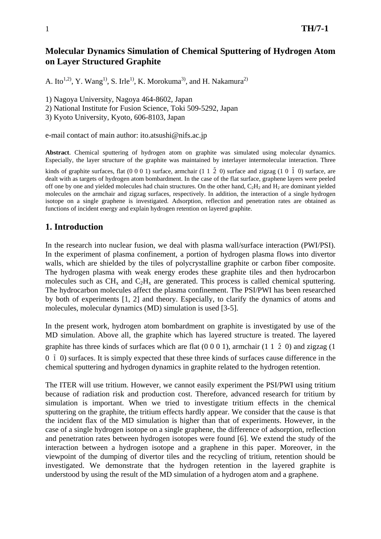# **Molecular Dynamics Simulation of Chemical Sputtering of Hydrogen Atom on Layer Structured Graphite**

A. Ito<sup>1,2)</sup>, Y. Wang<sup>1)</sup>, S. Irle<sup>1</sup>, K. Morokuma<sup>3)</sup>, and H. Nakamura<sup>2)</sup>

1) Nagoya University, Nagoya 464-8602, Japan

2) National Institute for Fusion Science, Toki 509-5292, Japan

3) Kyoto University, Kyoto, 606-8103, Japan

e-mail contact of main author: ito.atsushi@nifs.ac.jp

**Abstract**. Chemical sputtering of hydrogen atom on graphite was simulated using molecular dynamics. Especially, the layer structure of the graphite was maintained by interlayer intermolecular interaction. Three

kinds of graphite surfaces, flat  $(0 0 0 1)$  surface, armchair  $(1 1 \overline{2} 0)$  surface and zigzag  $(1 0 \overline{1} 0)$  surface, are dealt with as targets of hydrogen atom bombardment. In the case of the flat surface, graphene layers were peeled off one by one and yielded molecules had chain structures. On the other hand,  $C_2H_2$  and  $H_2$  are dominant yielded molecules on the armchair and zigzag surfaces, respectively. In addition, the interaction of a single hydrogen isotope on a single graphene is investigated. Adsorption, reflection and penetration rates are obtained as functions of incident energy and explain hydrogen retention on layered graphite.

## **1. Introduction**

In the research into nuclear fusion, we deal with plasma wall/surface interaction (PWI/PSI). In the experiment of plasma confinement, a portion of hydrogen plasma flows into divertor walls, which are shielded by the tiles of polycrystalline graphite or carbon fiber composite. The hydrogen plasma with weak energy erodes these graphite tiles and then hydrocarbon molecules such as  $CH_x$  and  $C_2H_x$  are generated. This process is called chemical sputtering. The hydrocarbon molecules affect the plasma confinement. The PSI/PWI has been researched by both of experiments [1, 2] and theory. Especially, to clarify the dynamics of atoms and molecules, molecular dynamics (MD) simulation is used [3-5].

In the present work, hydrogen atom bombardment on graphite is investigated by use of the MD simulation. Above all, the graphite which has layered structure is treated. The layered graphite has three kinds of surfaces which are flat  $(0\ 0\ 0\ 1)$ , armchair  $(1\ 1\ 2\ 0)$  and zigzag  $(1\ 1\ 1\ 2\ 0)$ 0  $\overline{1}$  0) surfaces. It is simply expected that these three kinds of surfaces cause difference in the chemical sputtering and hydrogen dynamics in graphite related to the hydrogen retention.

The ITER will use tritium. However, we cannot easily experiment the PSI/PWI using tritium because of radiation risk and production cost. Therefore, advanced research for tritium by simulation is important. When we tried to investigate tritium effects in the chemical sputtering on the graphite, the tritium effects hardly appear. We consider that the cause is that the incident flax of the MD simulation is higher than that of experiments. However, in the case of a single hydrogen isotope on a single graphene, the difference of adsorption, reflection and penetration rates between hydrogen isotopes were found [6]. We extend the study of the interaction between a hydrogen isotope and a graphene in this paper. Moreover, in the viewpoint of the dumping of divertor tiles and the recycling of tritium, retention should be investigated. We demonstrate that the hydrogen retention in the layered graphite is understood by using the result of the MD simulation of a hydrogen atom and a graphene.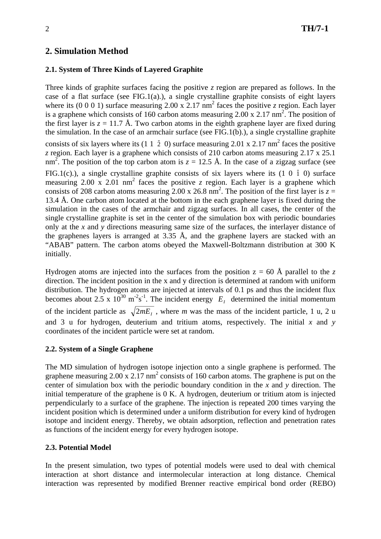# **2. Simulation Method**

## **2.1. System of Three Kinds of Layered Graphite**

Three kinds of graphite surfaces facing the positive *z* region are prepared as follows. In the case of a flat surface (see FIG.1(a).), a single crystalline graphite consists of eight layers where its  $(0\ 0\ 0\ 1)$  surface measuring 2.00 x 2.17 nm<sup>2</sup> faces the positive *z* region. Each layer is a graphene which consists of 160 carbon atoms measuring 2.00 x 2.17 nm<sup>2</sup>. The position of the first layer is  $z = 11.7$  Å. Two carbon atoms in the eighth graphene layer are fixed during the simulation. In the case of an armchair surface (see FIG.1(b).), a single crystalline graphite consists of six layers where its (1 1  $\bar{2}$  0) surface measuring 2.01 x 2.17 nm<sup>2</sup> faces the positive *z* region. Each layer is a graphene which consists of 210 carbon atoms measuring 2.17 x 25.1 nm<sup>2</sup>. The position of the top carbon atom is  $z = 12.5$  Å. In the case of a zigzag surface (see FIG.1(c).), a single crystalline graphite consists of six layers where its  $(1\ 0\ 1\ 0)$  surface measuring  $2.00 \times 2.01 \text{ nm}^2$  faces the positive *z* region. Each layer is a graphene which consists of 208 carbon atoms measuring 2.00 x 26.8 nm<sup>2</sup>. The position of the first layer is  $z =$ 13.4 Å. One carbon atom located at the bottom in the each graphene layer is fixed during the simulation in the cases of the armchair and zigzag surfaces. In all cases, the center of the single crystalline graphite is set in the center of the simulation box with periodic boundaries only at the *x* and *y* directions measuring same size of the surfaces, the interlayer distance of the graphenes layers is arranged at 3.35 Å, and the graphene layers are stacked with an "ABAB" pattern. The carbon atoms obeyed the Maxwell-Boltzmann distribution at 300 K initially.

Hydrogen atoms are injected into the surfaces from the position  $z = 60$  Å parallel to the *z* direction. The incident position in the x and y direction is determined at random with uniform distribution. The hydrogen atoms are injected at intervals of 0.1 ps and thus the incident flux becomes about 2.5 x  $10^{30}$  m<sup>-2</sup>s<sup>-1</sup>. The incident energy  $E<sub>I</sub>$  determined the initial momentum of the incident particle as  $\sqrt{2mE_i}$ , where *m* was the mass of the incident particle, 1 u, 2 u and 3 u for hydrogen, deuterium and tritium atoms, respectively. The initial *x* and *y* coordinates of the incident particle were set at random.

### **2.2. System of a Single Graphene**

The MD simulation of hydrogen isotope injection onto a single graphene is performed. The graphene measuring  $2.00 \times 2.17 \text{ nm}^2$  consists of 160 carbon atoms. The graphene is put on the center of simulation box with the periodic boundary condition in the *x* and *y* direction. The initial temperature of the graphene is 0 K. A hydrogen, deuterium or tritium atom is injected perpendicularly to a surface of the graphene. The injection is repeated 200 times varying the incident position which is determined under a uniform distribution for every kind of hydrogen isotope and incident energy. Thereby, we obtain adsorption, reflection and penetration rates as functions of the incident energy for every hydrogen isotope.

#### **2.3. Potential Model**

In the present simulation, two types of potential models were used to deal with chemical interaction at short distance and intermolecular interaction at long distance. Chemical interaction was represented by modified Brenner reactive empirical bond order (REBO)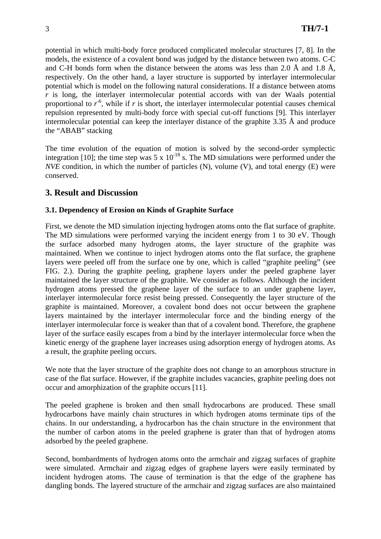potential in which multi-body force produced complicated molecular structures [7, 8]. In the models, the existence of a covalent bond was judged by the distance between two atoms. C-C and C-H bonds form when the distance between the atoms was less than 2.0 Å and 1.8 Å, respectively. On the other hand, a layer structure is supported by interlayer intermolecular potential which is model on the following natural considerations. If a distance between atoms *r* is long, the interlayer intermolecular potential accords with van der Waals potential proportional to  $r^6$ , while if *r* is short, the interlayer intermolecular potential causes chemical repulsion represented by multi-body force with special cut-off functions [9]. This interlayer intermolecular potential can keep the interlayer distance of the graphite 3.35 Å and produce the "ABAB" stacking

The time evolution of the equation of motion is solved by the second-order symplectic integration [10]; the time step was 5 x  $10^{-18}$  s. The MD simulations were performed under the *NVE* condition, in which the number of particles (N), volume (V), and total energy (E) were conserved.

# **3. Result and Discussion**

## **3.1. Dependency of Erosion on Kinds of Graphite Surface**

First, we denote the MD simulation injecting hydrogen atoms onto the flat surface of graphite. The MD simulations were performed varying the incident energy from 1 to 30 eV. Though the surface adsorbed many hydrogen atoms, the layer structure of the graphite was maintained. When we continue to inject hydrogen atoms onto the flat surface, the graphene layers were peeled off from the surface one by one, which is called "graphite peeling" (see FIG. 2.). During the graphite peeling, graphene layers under the peeled graphene layer maintained the layer structure of the graphite. We consider as follows. Although the incident hydrogen atoms pressed the graphene layer of the surface to an under graphene layer, interlayer intermolecular force resist being pressed. Consequently the layer structure of the graphite is maintained. Moreover, a covalent bond does not occur between the graphene layers maintained by the interlayer intermolecular force and the binding energy of the interlayer intermolecular force is weaker than that of a covalent bond. Therefore, the graphene layer of the surface easily escapes from a bind by the interlayer intermolecular force when the kinetic energy of the graphene layer increases using adsorption energy of hydrogen atoms. As a result, the graphite peeling occurs.

We note that the layer structure of the graphite does not change to an amorphous structure in case of the flat surface. However, if the graphite includes vacancies, graphite peeling does not occur and amorphization of the graphite occurs [11].

The peeled graphene is broken and then small hydrocarbons are produced. These small hydrocarbons have mainly chain structures in which hydrogen atoms terminate tips of the chains. In our understanding, a hydrocarbon has the chain structure in the environment that the number of carbon atoms in the peeled graphene is grater than that of hydrogen atoms adsorbed by the peeled graphene.

Second, bombardments of hydrogen atoms onto the armchair and zigzag surfaces of graphite were simulated. Armchair and zigzag edges of graphene layers were easily terminated by incident hydrogen atoms. The cause of termination is that the edge of the graphene has dangling bonds. The layered structure of the armchair and zigzag surfaces are also maintained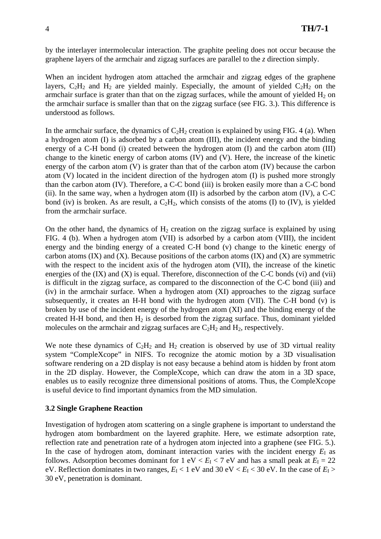by the interlayer intermolecular interaction. The graphite peeling does not occur because the graphene layers of the armchair and zigzag surfaces are parallel to the *z* direction simply.

When an incident hydrogen atom attached the armchair and zigzag edges of the graphene layers,  $C_2H_2$  and  $H_2$  are yielded mainly. Especially, the amount of yielded  $C_2H_2$  on the armchair surface is grater than that on the zigzag surfaces, while the amount of yielded  $H_2$  on the armchair surface is smaller than that on the zigzag surface (see FIG. 3.). This difference is understood as follows.

In the armchair surface, the dynamics of  $C_2H_2$  creation is explained by using FIG, 4 (a). When a hydrogen atom (I) is adsorbed by a carbon atom (III), the incident energy and the binding energy of a C-H bond (i) created between the hydrogen atom (I) and the carbon atom (III) change to the kinetic energy of carbon atoms (IV) and (V). Here, the increase of the kinetic energy of the carbon atom (V) is grater than that of the carbon atom (IV) because the carbon atom (V) located in the incident direction of the hydrogen atom (I) is pushed more strongly than the carbon atom (IV). Therefore, a C-C bond (iii) is broken easily more than a C-C bond (ii). In the same way, when a hydrogen atom  $(II)$  is adsorbed by the carbon atom  $(IV)$ , a C-C bond (iv) is broken. As are result, a  $C_2H_2$ , which consists of the atoms (I) to (IV), is yielded from the armchair surface.

On the other hand, the dynamics of  $H<sub>2</sub>$  creation on the zigzag surface is explained by using FIG. 4 (b). When a hydrogen atom (VII) is adsorbed by a carbon atom (VIII), the incident energy and the binding energy of a created C-H bond (v) change to the kinetic energy of carbon atoms  $(IX)$  and  $(X)$ . Because positions of the carbon atoms  $(IX)$  and  $(X)$  are symmetric with the respect to the incident axis of the hydrogen atom (VII), the increase of the kinetic energies of the  $(IX)$  and  $(X)$  is equal. Therefore, disconnection of the C-C bonds  $(vi)$  and  $(vii)$ is difficult in the zigzag surface, as compared to the disconnection of the C-C bond (iii) and (iv) in the armchair surface. When a hydrogen atom (XI) approaches to the zigzag surface subsequently, it creates an H-H bond with the hydrogen atom (VII). The C-H bond (v) is broken by use of the incident energy of the hydrogen atom (XI) and the binding energy of the created H-H bond, and then  $H_2$  is desorbed from the zigzag surface. Thus, dominant yielded molecules on the armchair and zigzag surfaces are  $C_2H_2$  and  $H_2$ , respectively.

We note these dynamics of  $C_2H_2$  and  $H_2$  creation is observed by use of 3D virtual reality system "CompleXcope" in NIFS. To recognize the atomic motion by a 3D visualisation software rendering on a 2D display is not easy because a behind atom is hidden by front atom in the 2D display. However, the CompleXcope, which can draw the atom in a 3D space, enables us to easily recognize three dimensional positions of atoms. Thus, the CompleXcope is useful device to find important dynamics from the MD simulation.

#### **3.2 Single Graphene Reaction**

Investigation of hydrogen atom scattering on a single graphene is important to understand the hydrogen atom bombardment on the layered graphite. Here, we estimate adsorption rate, reflection rate and penetration rate of a hydrogen atom injected into a graphene (see FIG. 5.). In the case of hydrogen atom, dominant interaction varies with the incident energy  $E_I$  as follows. Adsorption becomes dominant for  $1 \text{ eV} < E_I < 7 \text{ eV}$  and has a small peak at  $E_I = 22$ eV. Reflection dominates in two ranges,  $E_I < 1$  eV and 30 eV  $E_I < 30$  eV. In the case of  $E_I >$ 30 eV, penetration is dominant.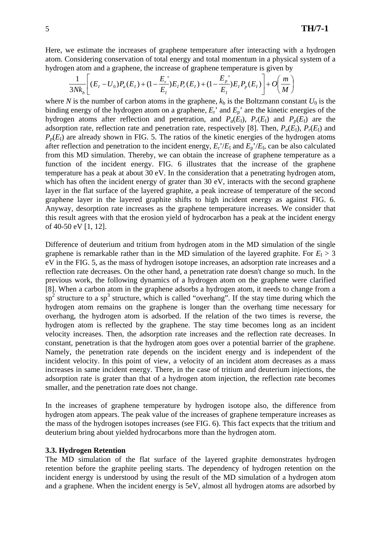Here, we estimate the increases of graphene temperature after interacting with a hydrogen atom. Considering conservation of total energy and total momentum in a physical system of a hydrogen atom and a graphene, the increase of graphene temperature is given by

$$
\frac{1}{3Nk_b} \left[ (E_I - U_0)P_a(E_I) + (1 - \frac{E_r}{E_I})E_I P_r(E_I) + (1 - \frac{E_p}{E_I})E_I P_p(E_I) \right] + O\left(\frac{m}{M}\right)
$$

where *N* is the number of carbon atoms in the graphene,  $k<sub>b</sub>$  is the Boltzmann constant  $U<sub>0</sub>$  is the binding energy of the hydrogen atom on a graphene,  $E_r$ <sup>'</sup> and  $E_p$ <sup>'</sup> are the kinetic energies of the hydrogen atoms after reflection and penetration, and  $P_a(E_1)$ ,  $P_r(E_1)$  and  $P_p(E_1)$  are the adsorption rate, reflection rate and penetration rate, respectively [8]. Then,  $P_a(E_1)$ ,  $P_r(E_1)$  and  $P_p(E_1)$  are already shown in FIG. 5. The ratios of the kinetic energies of the hydrogen atoms after reflection and penetration to the incident energy,  $E_r$ <sup> $\prime$ </sup>/ $E_l$  and  $E_p$ <sup> $\prime$ </sup>/ $E_l$ , can be also calculated from this MD simulation. Thereby, we can obtain the increase of graphene temperature as a function of the incident energy. FIG. 6 illustrates that the increase of the graphene temperature has a peak at about 30 eV. In the consideration that a penetrating hydrogen atom, which has often the incident energy of grater than 30 eV, interacts with the second graphene layer in the flat surface of the layered graphite, a peak increase of temperature of the second graphene layer in the layered graphite shifts to high incident energy as against FIG. 6. Anyway, desorption rate increases as the graphene temperature increases. We consider that this result agrees with that the erosion yield of hydrocarbon has a peak at the incident energy of 40-50 eV [1, 12].

Difference of deuterium and tritium from hydrogen atom in the MD simulation of the single graphene is remarkable rather than in the MD simulation of the layered graphite. For  $E<sub>I</sub> > 3$ eV in the FIG. 5, as the mass of hydrogen isotope increases, an adsorption rate increases and a reflection rate decreases. On the other hand, a penetration rate doesn't change so much. In the previous work, the following dynamics of a hydrogen atom on the graphene were clarified [8]. When a carbon atom in the graphene adsorbs a hydrogen atom, it needs to change from a  $\sin^2$  structure to a sp<sup>3</sup> structure, which is called "overhang". If the stay time during which the hydrogen atom remains on the graphene is longer than the overhang time necessary for overhang, the hydrogen atom is adsorbed. If the relation of the two times is reverse, the hydrogen atom is reflected by the graphene. The stay time becomes long as an incident velocity increases. Then, the adsorption rate increases and the reflection rate decreases. In constant, penetration is that the hydrogen atom goes over a potential barrier of the graphene. Namely, the penetration rate depends on the incident energy and is independent of the incident velocity. In this point of view, a velocity of an incident atom decreases as a mass increases in same incident energy. There, in the case of tritium and deuterium injections, the adsorption rate is grater than that of a hydrogen atom injection, the reflection rate becomes smaller, and the penetration rate does not change.

In the increases of graphene temperature by hydrogen isotope also, the difference from hydrogen atom appears. The peak value of the increases of graphene temperature increases as the mass of the hydrogen isotopes increases (see FIG. 6). This fact expects that the tritium and deuterium bring about yielded hydrocarbons more than the hydrogen atom.

#### **3.3. Hydrogen Retention**

The MD simulation of the flat surface of the layered graphite demonstrates hydrogen retention before the graphite peeling starts. The dependency of hydrogen retention on the incident energy is understood by using the result of the MD simulation of a hydrogen atom and a graphene. When the incident energy is 5eV, almost all hydrogen atoms are adsorbed by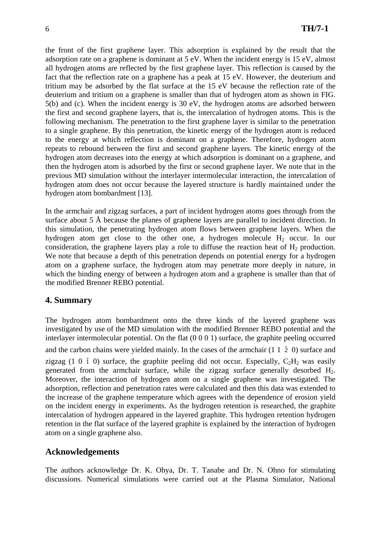the front of the first graphene layer. This adsorption is explained by the result that the adsorption rate on a graphene is dominant at 5 eV. When the incident energy is 15 eV, almost all hydrogen atoms are reflected by the first graphene layer. This reflection is caused by the fact that the reflection rate on a graphene has a peak at 15 eV. However, the deuterium and tritium may be adsorbed by the flat surface at the 15 eV because the reflection rate of the deuterium and tritium on a graphene is smaller than that of hydrogen atom as shown in FIG. 5(b) and (c). When the incident energy is 30 eV, the hydrogen atoms are adsorbed between the first and second graphene layers, that is, the intercalation of hydrogen atoms. This is the following mechanism. The penetration to the first graphene layer is similar to the penetration to a single graphene. By this penetration, the kinetic energy of the hydrogen atom is reduced to the energy at which reflection is dominant on a graphene. Therefore, hydrogen atom repeats to rebound between the first and second graphene layers. The kinetic energy of the hydrogen atom decreases into the energy at which adsorption is dominant on a graphene, and then the hydrogen atom is adsorbed by the first or second graphene layer. We note that in the previous MD simulation without the interlayer intermolecular interaction, the intercalation of hydrogen atom does not occur because the layered structure is hardly maintained under the hydrogen atom bombardment [13].

In the armchair and zigzag surfaces, a part of incident hydrogen atoms goes through from the surface about 5 Å because the planes of graphene layers are parallel to incident direction. In this simulation, the penetrating hydrogen atom flows between graphene layers. When the hydrogen atom get close to the other one, a hydrogen molecule  $H_2$  occur. In our consideration, the graphene layers play a role to diffuse the reaction heat of  $H_2$  production. We note that because a depth of this penetration depends on potential energy for a hydrogen atom on a graphene surface, the hydrogen atom may penetrate more deeply in nature, in which the binding energy of between a hydrogen atom and a graphene is smaller than that of the modified Brenner REBO potential.

### **4. Summary**

The hydrogen atom bombardment onto the three kinds of the layered graphene was investigated by use of the MD simulation with the modified Brenner REBO potential and the interlayer intermolecular potential. On the flat (0 0 0 1) surface, the graphite peeling occurred and the carbon chains were yielded mainly. In the cases of the armchair  $(1\ 1\ 2\ 0)$  surface and zigzag (1 0  $\bar{1}$  0) surface, the graphite peeling did not occur. Especially, C<sub>2</sub>H<sub>2</sub> was easily generated from the armchair surface, while the zigzag surface generally desorbed H2. Moreover, the interaction of hydrogen atom on a single graphene was investigated. The adsorption, reflection and penetration rates were calculated and then this data was extended to the increase of the graphene temperature which agrees with the dependence of erosion yield on the incident energy in experiments. As the hydrogen retention is researched, the graphite intercalation of hydrogen appeared in the layered graphite. This hydrogen retention hydrogen retention in the flat surface of the layered graphite is explained by the interaction of hydrogen atom on a single graphene also.

# **Acknowledgements**

The authors acknowledge Dr. K. Ohya, Dr. T. Tanabe and Dr. N. Ohno for stimulating discussions. Numerical simulations were carried out at the Plasma Simulator, National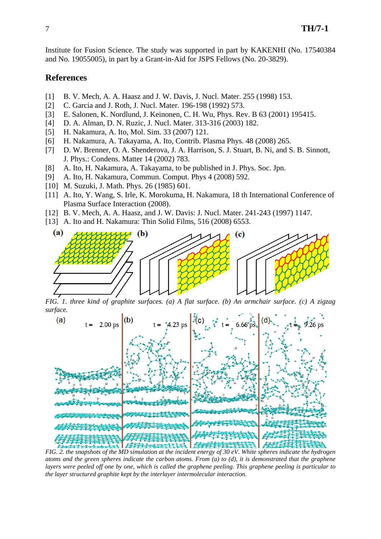Institute for Fusion Science. The study was supported in part by KAKENHI (No. 17540384 and No. 19055005), in part by a Grant-in-Aid for JSPS Fellows (No. 20-3829).

#### **References**

- [1] B. V. Mech, A. A. Haasz and J. W. Davis, J. Nucl. Mater. 255 (1998) 153.
- [2] C. Garcia and J. Roth, J. Nucl. Mater. 196-198 (1992) 573.
- [3] E. Salonen, K. Nordlund, J. Keinonen, C. H. Wu, Phys. Rev. B 63 (2001) 195415.
- [4] D. A. Alman, D. N. Ruzic, J. Nucl. Mater. 313-316 (2003) 182.
- [5] H. Nakamura, A. Ito, Mol. Sim. 33 (2007) 121.
- [6] H. Nakamura, A. Takayama, A. Ito, Contrib. Plasma Phys. 48 (2008) 265.
- [7] D. W. Brenner, O. A. Shenderova, J. A. Harrison, S. J. Stuart, B. Ni, and S. B. Sinnott, J. Phys.: Condens. Matter 14 (2002) 783.
- [8] A. Ito, H. Nakamura, A. Takayama, to be published in J. Phys. Soc. Jpn.
- [9] A. Ito, H. Nakamura, Commun. Comput. Phys 4 (2008) 592.
- [10] M. Suzuki, J. Math. Phys. 26 (1985) 601.
- [11] A. Ito, Y. Wang, S. Irle, K. Morokuma, H. Nakamura, 18 th International Conference of Plasma Surface Interaction (2008).
- [12] B. V. Mech, A. A. Haasz, and J. W. Davis: J. Nucl. Mater. 241-243 (1997) 1147.
- [13] A. Ito and H. Nakamura: Thin Solid Films, 516 (2008) 6553.



*FIG. 1. three kind of graphite surfaces. (a) A flat surface. (b) An armchair surface. (c) A zigzag surface.* 



*atoms and the green spheres indicate the carbon atoms. From (a) to (d), it is demonstrated that the graphene layers were peeled off one by one, which is called the graphene peeling. This graphene peeling is particular to the layer structured graphite kept by the interlayer intermolecular interaction.*